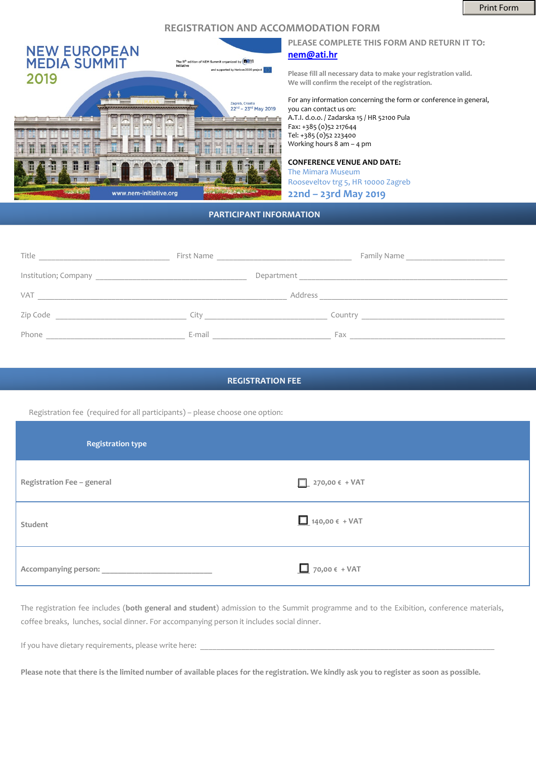## **REGISTRATION AND ACCOMMODATION FORM**



### **PLEASE COMPLETE THIS FORM AND RETURN IT TO: [nem@ati.hr](mailto:nem@ati.hr)**

**Please fill all necessary data to make your registration valid. We will confirm the receipt of the registration.**

For any information concerning the form or conference in general, you can contact us on: A.T.I. d.o.o. / Zadarska 15 / HR 52100 Pula

Fax: +385 (0)52 217644 Tel: +385 (0)52 223400 Working hours 8 am – 4 pm

### **CONFERENCE VENUE AND DATE:**

The Mimara Museum Rooseveltov trg 5, HR 10000 Zagreb **22nd – 23rd May 2019**

## **PARTICIPANT INFORMATION**

| Title      | First Name<br><u> 1980 - Jan Stein Berlin, amerikansk politiker</u> |                                                                                                                                 |
|------------|---------------------------------------------------------------------|---------------------------------------------------------------------------------------------------------------------------------|
|            |                                                                     |                                                                                                                                 |
| <b>VAT</b> | Address                                                             |                                                                                                                                 |
| Zip Code   | City                                                                | Country<br><u> 1980 - Jan Stein Harry Stein Harry Stein Harry Stein Harry Stein Harry Stein Harry Stein Harry Stein Harry S</u> |
| Phone      | E-mail                                                              | Fax                                                                                                                             |

#### **REGISTRATION FEE**

Registration fee (required for all participants) – please choose one option:

| <b>Registration type</b>   |                                                                      |
|----------------------------|----------------------------------------------------------------------|
| Registration Fee - general | $\boxed{\phantom{1}}$ 270,00 $\epsilon$ + VAT                        |
| Student                    | $\boxed{\underline{\phantom{a}}\phantom{a}}$ 140,00 $\epsilon$ + VAT |
| Accompanying person:       | $\boxed{\phantom{1}}$ 70,00 € + VAT                                  |

The registration fee includes (**both general and student**) admission to the Summit programme and to the Exibition, conference materials, coffee breaks, lunches, social dinner. For accompanying person it includes social dinner.

If you have dietary requirements, please write here:

**Please note that there is the limited number of available places for the registration. We kindly ask you to register as soon as possible.**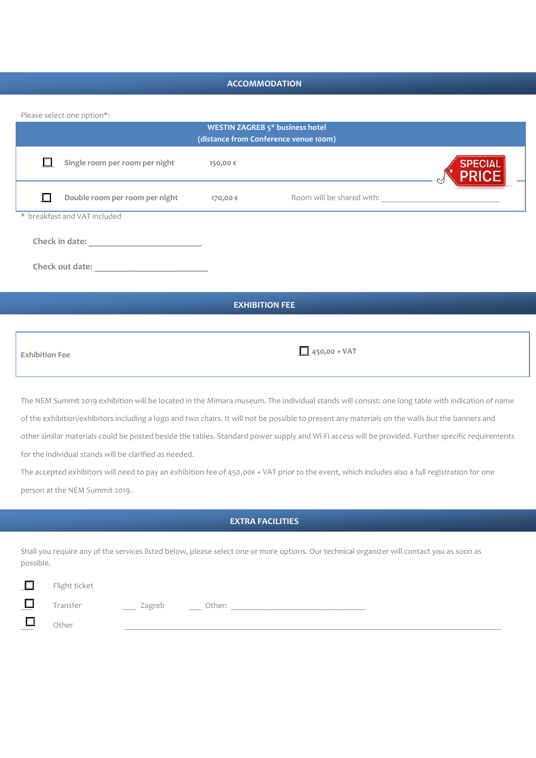## **ACCOMMODATION**

Please select one option\*:

| <b>WESTIN ZAGREB 5* business hotel</b><br>(distance from Conference venue 100m) |                                |          |                           |                |
|---------------------------------------------------------------------------------|--------------------------------|----------|---------------------------|----------------|
|                                                                                 | Single room per room per night | 150,00 € |                           | <b>SPECIAL</b> |
|                                                                                 | Double room per room per night | 170,00 € | Room will be shared with: |                |
|                                                                                 | * breakfast and VAT included   |          |                           |                |
|                                                                                 | Check in date:                 |          |                           |                |
|                                                                                 | Check out date:                |          |                           |                |
|                                                                                 |                                |          |                           |                |
| <b>EXHIBITION FEE</b>                                                           |                                |          |                           |                |

| <b>Exhibition Fee</b> | $\Box$ 450,00 + VAT |
|-----------------------|---------------------|

The NEM Summit 2019 exhibition will be located in the Mimara museum. The individual stands will consist: one long table with indication of name of the exhibition/exhibitors including a logo and two chairs. It will not be possible to present any materials on the walls but the banners and other similar materials could be posted beside the tables. Standard power supply and Wi-Fi access will be provided. Further specific requirements for the individual stands will be clarified as needed.

The accepted exhibitors will need to pay an exhibition fee of 450,00€ + VAT prior to the event, which includes also a full registration for one person at the NEM Summit 2019.

# **EXTRA FACILITIES**

Shall you require any of the services listed below, please select one or more options. Our technical organizer will contact you as soon as possible.

| г        | Flight ticket |               |                 |  |  |
|----------|---------------|---------------|-----------------|--|--|
| Е<br>$-$ | Transfer      | Zagreb<br>$-$ | Other:<br>_____ |  |  |
| $\Box$   | Other         |               |                 |  |  |